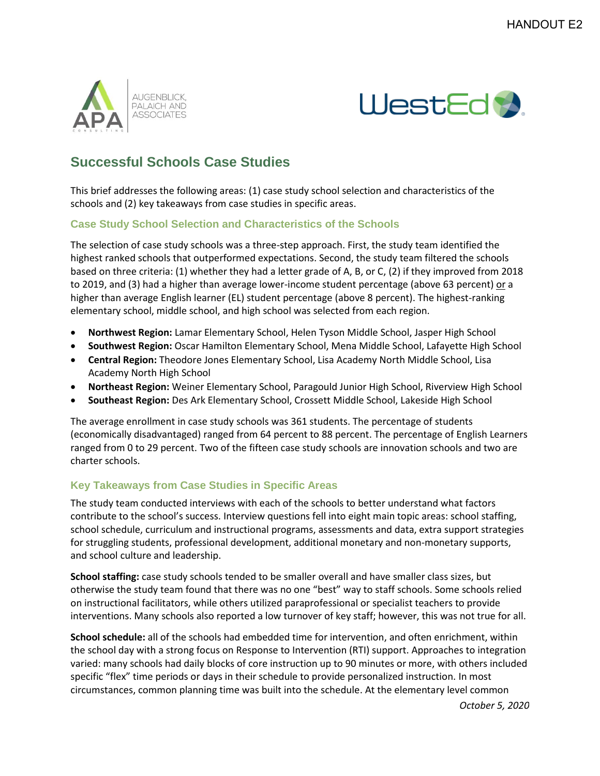



## **Successful Schools Case Studies**

This brief addresses the following areas: (1) case study school selection and characteristics of the schools and (2) key takeaways from case studies in specific areas.

## **Case Study School Selection and Characteristics of the Schools**

The selection of case study schools was a three-step approach. First, the study team identified the highest ranked schools that outperformed expectations. Second, the study team filtered the schools based on three criteria: (1) whether they had a letter grade of A, B, or C, (2) if they improved from 2018 to 2019, and (3) had a higher than average lower-income student percentage (above 63 percent) or a higher than average English learner (EL) student percentage (above 8 percent). The highest-ranking elementary school, middle school, and high school was selected from each region.

- **Northwest Region:** Lamar Elementary School, Helen Tyson Middle School, Jasper High School
- **Southwest Region:** Oscar Hamilton Elementary School, Mena Middle School, Lafayette High School
- **Central Region:** Theodore Jones Elementary School, Lisa Academy North Middle School, Lisa Academy North High School
- **Northeast Region:** Weiner Elementary School, Paragould Junior High School, Riverview High School
- **Southeast Region:** Des Ark Elementary School, Crossett Middle School, Lakeside High School

The average enrollment in case study schools was 361 students. The percentage of students (economically disadvantaged) ranged from 64 percent to 88 percent. The percentage of English Learners ranged from 0 to 29 percent. Two of the fifteen case study schools are innovation schools and two are charter schools.

## **Key Takeaways from Case Studies in Specific Areas**

The study team conducted interviews with each of the schools to better understand what factors contribute to the school's success. Interview questions fell into eight main topic areas: school staffing, school schedule, curriculum and instructional programs, assessments and data, extra support strategies for struggling students, professional development, additional monetary and non-monetary supports, and school culture and leadership.

**School staffing:** case study schools tended to be smaller overall and have smaller class sizes, but otherwise the study team found that there was no one "best" way to staff schools. Some schools relied on instructional facilitators, while others utilized paraprofessional or specialist teachers to provide interventions. Many schools also reported a low turnover of key staff; however, this was not true for all.

**School schedule:** all of the schools had embedded time for intervention, and often enrichment, within the school day with a strong focus on Response to Intervention (RTI) support. Approaches to integration varied: many schools had daily blocks of core instruction up to 90 minutes or more, with others included specific "flex" time periods or days in their schedule to provide personalized instruction. In most circumstances, common planning time was built into the schedule. At the elementary level common